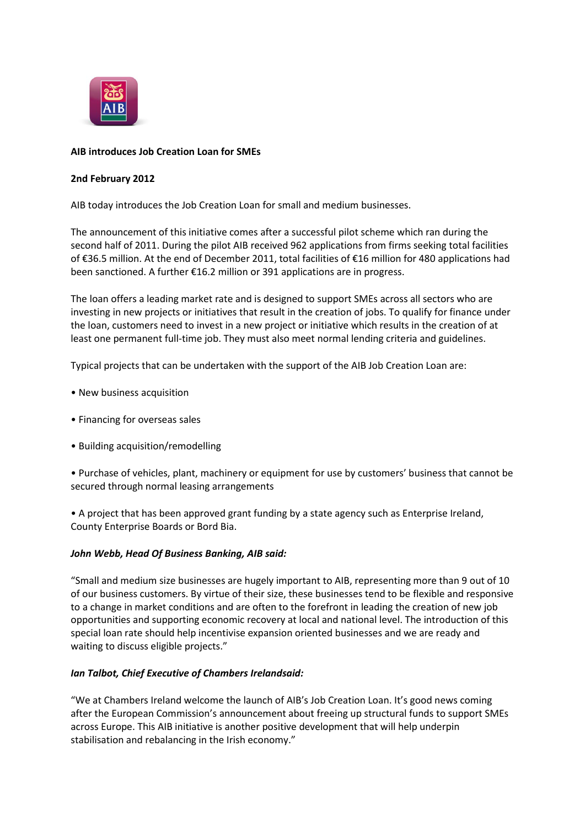

# **AIB introduces Job Creation Loan for SMEs**

## **2nd February 2012**

AIB today introduces the Job Creation Loan for small and medium businesses.

The announcement of this initiative comes after a successful pilot scheme which ran during the second half of 2011. During the pilot AIB received 962 applications from firms seeking total facilities of €36.5 million. At the end of December 2011, total facilities of €16 million for 480 applications had been sanctioned. A further €16.2 million or 391 applications are in progress.

The loan offers a leading market rate and is designed to support SMEs across all sectors who are investing in new projects or initiatives that result in the creation of jobs. To qualify for finance under the loan, customers need to invest in a new project or initiative which results in the creation of at least one permanent full-time job. They must also meet normal lending criteria and guidelines.

Typical projects that can be undertaken with the support of the AIB Job Creation Loan are:

- New business acquisition
- Financing for overseas sales
- Building acquisition/remodelling

• Purchase of vehicles, plant, machinery or equipment for use by customers' business that cannot be secured through normal leasing arrangements

• A project that has been approved grant funding by a state agency such as Enterprise Ireland, County Enterprise Boards or Bord Bia.

## *John Webb, Head Of Business Banking, AIB said:*

"Small and medium size businesses are hugely important to AIB, representing more than 9 out of 10 of our business customers. By virtue of their size, these businesses tend to be flexible and responsive to a change in market conditions and are often to the forefront in leading the creation of new job opportunities and supporting economic recovery at local and national level. The introduction of this special loan rate should help incentivise expansion oriented businesses and we are ready and waiting to discuss eligible projects."

## *Ian Talbot, Chief Executive of Chambers Irelandsaid:*

"We at Chambers Ireland welcome the launch of AIB's Job Creation Loan. It's good news coming after the European Commission's announcement about freeing up structural funds to support SMEs across Europe. This AIB initiative is another positive development that will help underpin stabilisation and rebalancing in the Irish economy."